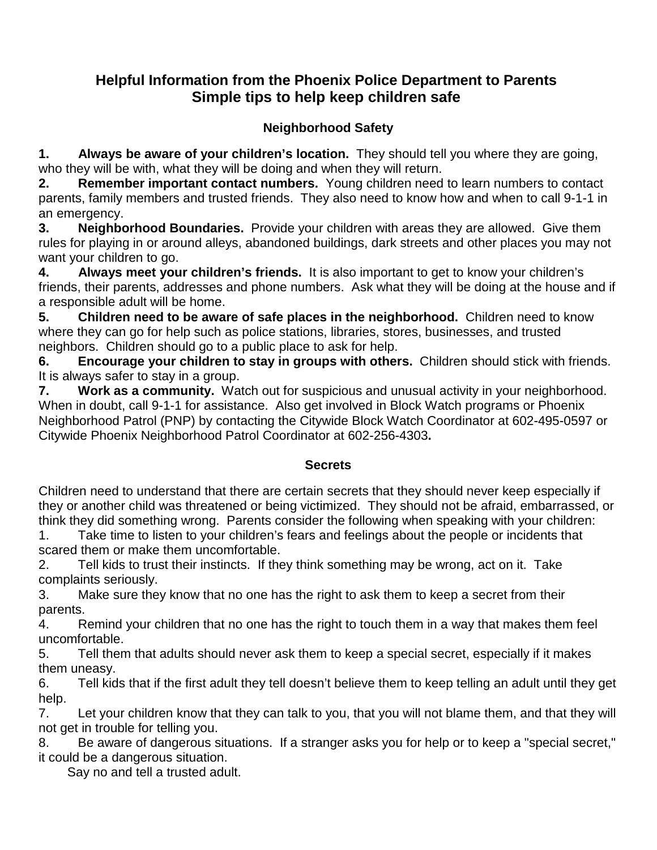## **Helpful Information from the Phoenix Police Department to Parents Simple tips to help keep children safe**

## **Neighborhood Safety**

**1. Always be aware of your children's location.** They should tell you where they are going, who they will be with, what they will be doing and when they will return.

**2. Remember important contact numbers.** Young children need to learn numbers to contact parents, family members and trusted friends. They also need to know how and when to call 9-1-1 in an emergency.

**3. Neighborhood Boundaries.** Provide your children with areas they are allowed. Give them rules for playing in or around alleys, abandoned buildings, dark streets and other places you may not want your children to go.

**4. Always meet your children's friends.** It is also important to get to know your children's friends, their parents, addresses and phone numbers. Ask what they will be doing at the house and if a responsible adult will be home.

**5. Children need to be aware of safe places in the neighborhood.** Children need to know where they can go for help such as police stations, libraries, stores, businesses, and trusted neighbors. Children should go to a public place to ask for help.

**6. Encourage your children to stay in groups with others.** Children should stick with friends. It is always safer to stay in a group.

**7. Work as a community.** Watch out for suspicious and unusual activity in your neighborhood. When in doubt, call 9-1-1 for assistance. Also get involved in Block Watch programs or Phoenix Neighborhood Patrol (PNP) by contacting the Citywide Block Watch Coordinator at 602-495-0597 or Citywide Phoenix Neighborhood Patrol Coordinator at 602-256-4303**.**

#### **Secrets**

Children need to understand that there are certain secrets that they should never keep especially if they or another child was threatened or being victimized. They should not be afraid, embarrassed, or think they did something wrong. Parents consider the following when speaking with your children:

1. Take time to listen to your children's fears and feelings about the people or incidents that scared them or make them uncomfortable.

2. Tell kids to trust their instincts. If they think something may be wrong, act on it. Take complaints seriously.

3. Make sure they know that no one has the right to ask them to keep a secret from their parents.

4. Remind your children that no one has the right to touch them in a way that makes them feel uncomfortable.

5. Tell them that adults should never ask them to keep a special secret, especially if it makes them uneasy.

6. Tell kids that if the first adult they tell doesn't believe them to keep telling an adult until they get help.

7. Let your children know that they can talk to you, that you will not blame them, and that they will not get in trouble for telling you.

8. Be aware of dangerous situations. If a stranger asks you for help or to keep a "special secret," it could be a dangerous situation.

Say no and tell a trusted adult.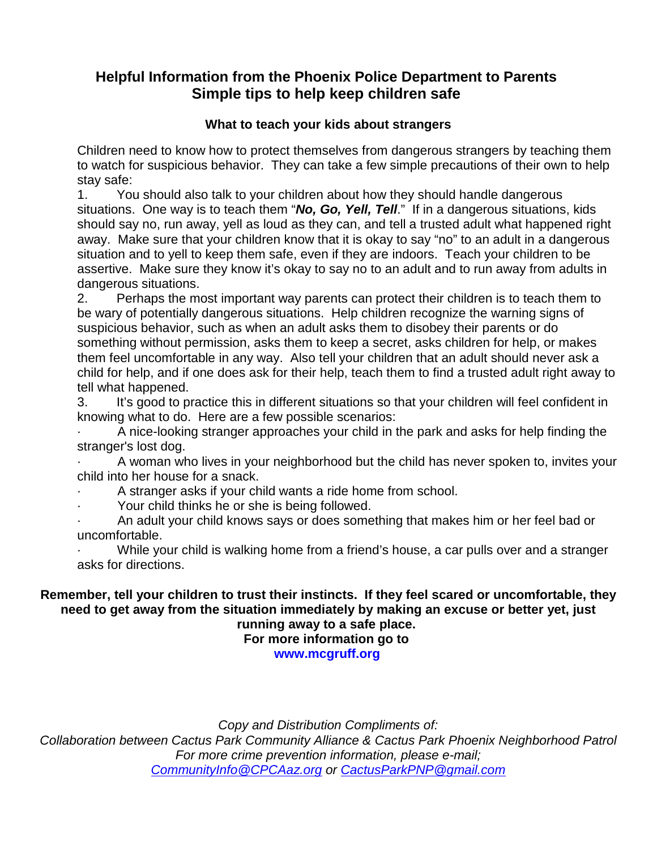# **Helpful Information from the Phoenix Police Department to Parents Simple tips to help keep children safe**

#### **What to teach your kids about strangers**

Children need to know how to protect themselves from dangerous strangers by teaching them to watch for suspicious behavior. They can take a few simple precautions of their own to help stay safe:

1. You should also talk to your children about how they should handle dangerous situations. One way is to teach them "*No, Go, Yell, Tell*." If in a dangerous situations, kids should say no, run away, yell as loud as they can, and tell a trusted adult what happened right away. Make sure that your children know that it is okay to say "no" to an adult in a dangerous situation and to yell to keep them safe, even if they are indoors. Teach your children to be assertive. Make sure they know it's okay to say no to an adult and to run away from adults in dangerous situations.

2. Perhaps the most important way parents can protect their children is to teach them to be wary of potentially dangerous situations. Help children recognize the warning signs of suspicious behavior, such as when an adult asks them to disobey their parents or do something without permission, asks them to keep a secret, asks children for help, or makes them feel uncomfortable in any way. Also tell your children that an adult should never ask a child for help, and if one does ask for their help, teach them to find a trusted adult right away to tell what happened.

3. It's good to practice this in different situations so that your children will feel confident in knowing what to do. Here are a few possible scenarios:

· A nice-looking stranger approaches your child in the park and asks for help finding the stranger's lost dog.

A woman who lives in your neighborhood but the child has never spoken to, invites your child into her house for a snack.

- A stranger asks if your child wants a ride home from school.
- Your child thinks he or she is being followed.

· An adult your child knows says or does something that makes him or her feel bad or uncomfortable.

While your child is walking home from a friend's house, a car pulls over and a stranger asks for directions.

#### **Remember, tell your children to trust their instincts. If they feel scared or uncomfortable, they need to get away from the situation immediately by making an excuse or better yet, just running away to a safe place. For more information go to**

**[www.mcgruff.org](http://www.mcgruff.org/)**

*Copy and Distribution Compliments of:*

*Collaboration between Cactus Park Community Alliance & Cactus Park Phoenix Neighborhood Patrol For more crime prevention information, please e-mail; [CommunityInfo@CPCAaz.org](mailto:CommunityInfo@CPCAaz.org) or [CactusParkPNP@gmail.com](mailto:CactusParkPNP@gmail.com)*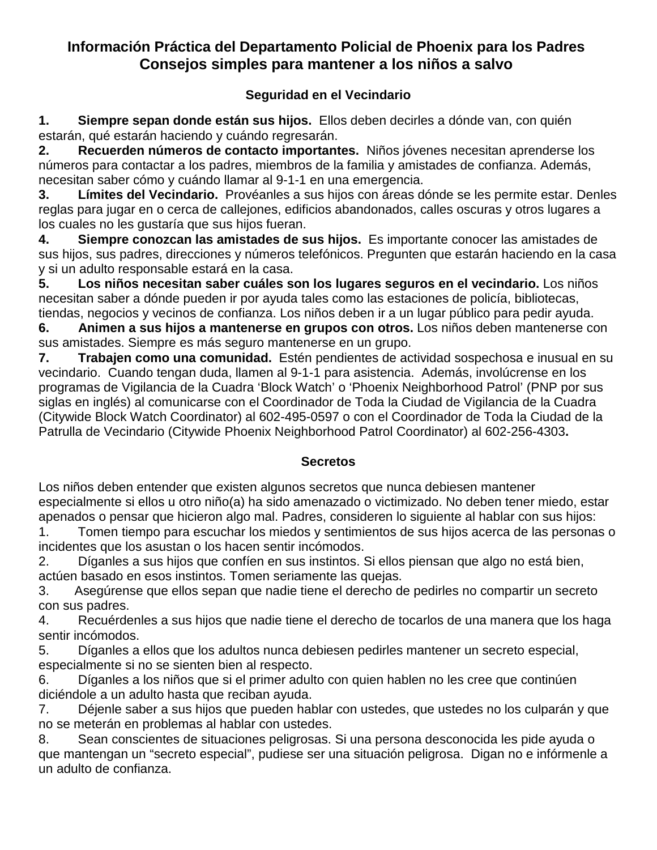## **Información Práctica del Departamento Policial de Phoenix para los Padres Consejos simples para mantener a los niños a salvo**

### **Seguridad en el Vecindario**

**1. Siempre sepan donde están sus hijos.** Ellos deben decirles a dónde van, con quién estarán, qué estarán haciendo y cuándo regresarán.

**2. Recuerden números de contacto importantes.** Niños jóvenes necesitan aprenderse los números para contactar a los padres, miembros de la familia y amistades de confianza. Además, necesitan saber cómo y cuándo llamar al 9-1-1 en una emergencia.

**3. Límites del Vecindario.** Provéanles a sus hijos con áreas dónde se les permite estar. Denles reglas para jugar en o cerca de callejones, edificios abandonados, calles oscuras y otros lugares a los cuales no les gustaría que sus hijos fueran.

**4. Siempre conozcan las amistades de sus hijos.** Es importante conocer las amistades de sus hijos, sus padres, direcciones y números telefónicos. Pregunten que estarán haciendo en la casa y si un adulto responsable estará en la casa.

**5. Los niños necesitan saber cuáles son los lugares seguros en el vecindario.** Los niños necesitan saber a dónde pueden ir por ayuda tales como las estaciones de policía, bibliotecas, tiendas, negocios y vecinos de confianza. Los niños deben ir a un lugar público para pedir ayuda.

**6. Animen a sus hijos a mantenerse en grupos con otros.** Los niños deben mantenerse con sus amistades. Siempre es más seguro mantenerse en un grupo.

**7. Trabajen como una comunidad.** Estén pendientes de actividad sospechosa e inusual en su vecindario. Cuando tengan duda, llamen al 9-1-1 para asistencia. Además, involúcrense en los programas de Vigilancia de la Cuadra 'Block Watch' o 'Phoenix Neighborhood Patrol' (PNP por sus siglas en inglés) al comunicarse con el Coordinador de Toda la Ciudad de Vigilancia de la Cuadra (Citywide Block Watch Coordinator) al 602-495-0597 o con el Coordinador de Toda la Ciudad de la Patrulla de Vecindario (Citywide Phoenix Neighborhood Patrol Coordinator) al 602-256-4303**.**

### **Secretos**

Los niños deben entender que existen algunos secretos que nunca debiesen mantener especialmente si ellos u otro niño(a) ha sido amenazado o victimizado. No deben tener miedo, estar apenados o pensar que hicieron algo mal. Padres, consideren lo siguiente al hablar con sus hijos:

1. Tomen tiempo para escuchar los miedos y sentimientos de sus hijos acerca de las personas o incidentes que los asustan o los hacen sentir incómodos.

2. Díganles a sus hijos que confíen en sus instintos. Si ellos piensan que algo no está bien, actúen basado en esos instintos. Tomen seriamente las quejas.

3. Asegúrense que ellos sepan que nadie tiene el derecho de pedirles no compartir un secreto con sus padres.

4. Recuérdenles a sus hijos que nadie tiene el derecho de tocarlos de una manera que los haga sentir incómodos.

5. Díganles a ellos que los adultos nunca debiesen pedirles mantener un secreto especial, especialmente si no se sienten bien al respecto.

6. Díganles a los niños que si el primer adulto con quien hablen no les cree que continúen diciéndole a un adulto hasta que reciban ayuda.

7. Déjenle saber a sus hijos que pueden hablar con ustedes, que ustedes no los culparán y que no se meterán en problemas al hablar con ustedes.

8. Sean conscientes de situaciones peligrosas. Si una persona desconocida les pide ayuda o que mantengan un "secreto especial", pudiese ser una situación peligrosa. Digan no e infórmenle a un adulto de confianza.